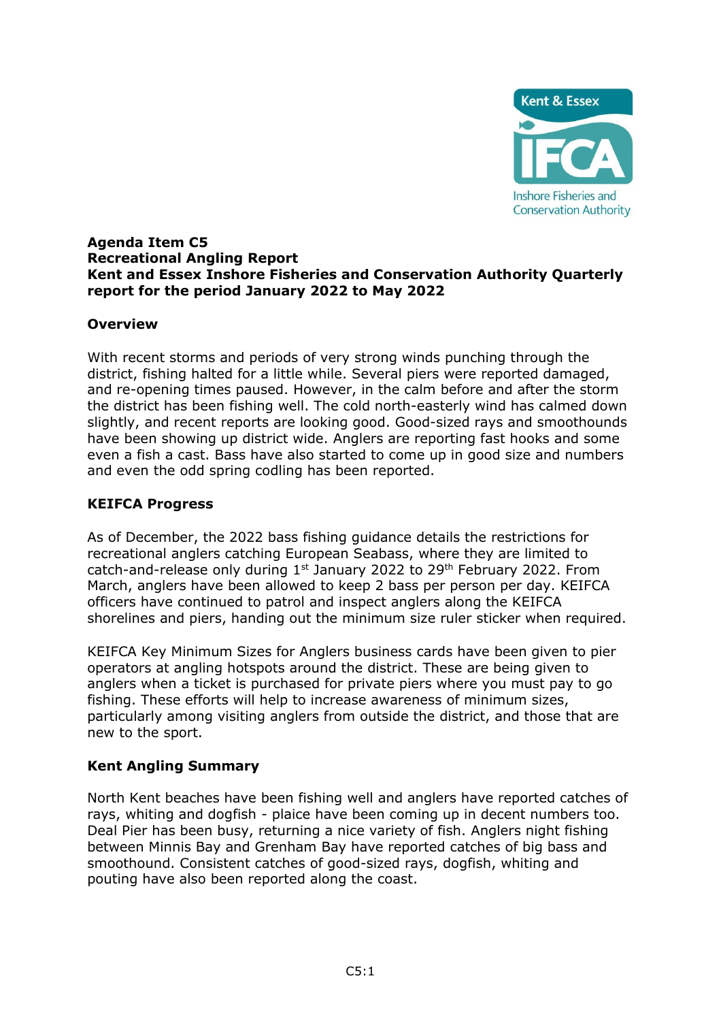

#### **Agenda Item C5 Recreational Angling Report Kent and Essex Inshore Fisheries and Conservation Authority Quarterly report for the period January 2022 to May 2022**

### **Overview**

With recent storms and periods of very strong winds punching through the district, fishing halted for a little while. Several piers were reported damaged, and re-opening times paused. However, in the calm before and after the storm the district has been fishing well. The cold north-easterly wind has calmed down slightly, and recent reports are looking good. Good-sized rays and smoothounds have been showing up district wide. Anglers are reporting fast hooks and some even a fish a cast. Bass have also started to come up in good size and numbers and even the odd spring codling has been reported.

#### **KEIFCA Progress**

As of December, the 2022 bass fishing guidance details the restrictions for recreational anglers catching European Seabass, where they are limited to catch-and-release only during  $1<sup>st</sup>$  January 2022 to 29<sup>th</sup> February 2022. From March, anglers have been allowed to keep 2 bass per person per day. KEIFCA officers have continued to patrol and inspect anglers along the KEIFCA shorelines and piers, handing out the minimum size ruler sticker when required.

KEIFCA Key Minimum Sizes for Anglers business cards have been given to pier operators at angling hotspots around the district. These are being given to anglers when a ticket is purchased for private piers where you must pay to go fishing. These efforts will help to increase awareness of minimum sizes, particularly among visiting anglers from outside the district, and those that are new to the sport.

### **Kent Angling Summary**

North Kent beaches have been fishing well and anglers have reported catches of rays, whiting and dogfish - plaice have been coming up in decent numbers too. Deal Pier has been busy, returning a nice variety of fish. Anglers night fishing between Minnis Bay and Grenham Bay have reported catches of big bass and smoothound. Consistent catches of good-sized rays, dogfish, whiting and pouting have also been reported along the coast.